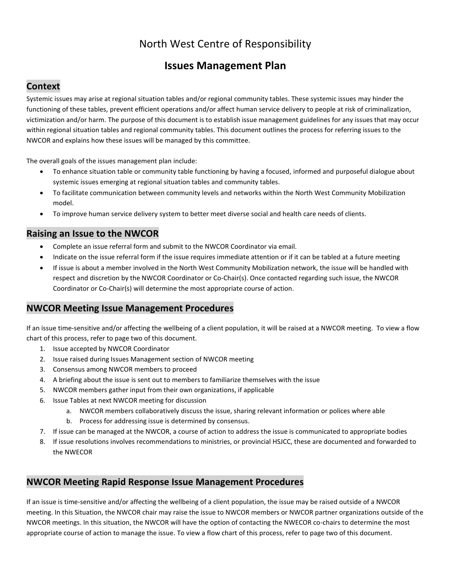# North West Centre of Responsibility

## **Issues Management Plan**

## **Context**

Systemic issues may arise at regional situation tables and/or regional community tables. These systemic issues may hinder the functioning of these tables, prevent efficient operations and/or affect human service delivery to people at risk of criminalization, victimization and/or harm. The purpose of this document is to establish issue management guidelines for any issues that may occur within regional situation tables and regional community tables. This document outlines the process for referring issues to the NWCOR and explains how these issues will be managed by this committee.

The overall goals of the issues management plan include:

- To enhance situation table or community table functioning by having a focused, informed and purposeful dialogue about systemic issues emerging at regional situation tables and community tables.
- To facilitate communication between community levels and networks within the North West Community Mobilization model.
- To improve human service delivery system to better meet diverse social and health care needs of clients.

#### **Raising an Issue to the NWCOR**

- Complete an issue referral form and submit to the NWCOR Coordinator via email.
- Indicate on the issue referral form if the issue requires immediate attention or if it can be tabled at a future meeting
- If issue is about a member involved in the North West Community Mobilization network, the issue will be handled with respect and discretion by the NWCOR Coordinator or Co-Chair(s). Once contacted regarding such issue, the NWCOR Coordinator or Co-Chair(s) will determine the most appropriate course of action.

#### **NWCOR Meeting Issue Management Procedures**

If an issue time-sensitive and/or affecting the wellbeing of a client population, it will be raised at a NWCOR meeting. To view a flow chart of this process, refer to page two of this document.

- 1. Issue accepted by NWCOR Coordinator
- 2. Issue raised during Issues Management section of NWCOR meeting
- 3. Consensus among NWCOR members to proceed
- 4. A briefing about the issue is sent out to members to familiarize themselves with the issue
- 5. NWCOR members gather input from their own organizations, if applicable
- 6. Issue Tables at next NWCOR meeting for discussion
	- a. NWCOR members collaboratively discuss the issue, sharing relevant information or polices where able
		- b. Process for addressing issue is determined by consensus.
- 7. If issue can be managed at the NWCOR, a course of action to address the issue is communicated to appropriate bodies
- 8. If issue resolutions involves recommendations to ministries, or provincial HSJCC, these are documented and forwarded to the NWECOR

#### **NWCOR Meeting Rapid Response Issue Management Procedures**

If an issue is time-sensitive and/or affecting the wellbeing of a client population, the issue may be raised outside of a NWCOR meeting. In this Situation, the NWCOR chair may raise the issue to NWCOR members or NWCOR partner organizations outside of the NWCOR meetings. In this situation, the NWCOR will have the option of contacting the NWECOR co-chairs to determine the most appropriate course of action to manage the issue. To view a flow chart of this process, refer to page two of this document.